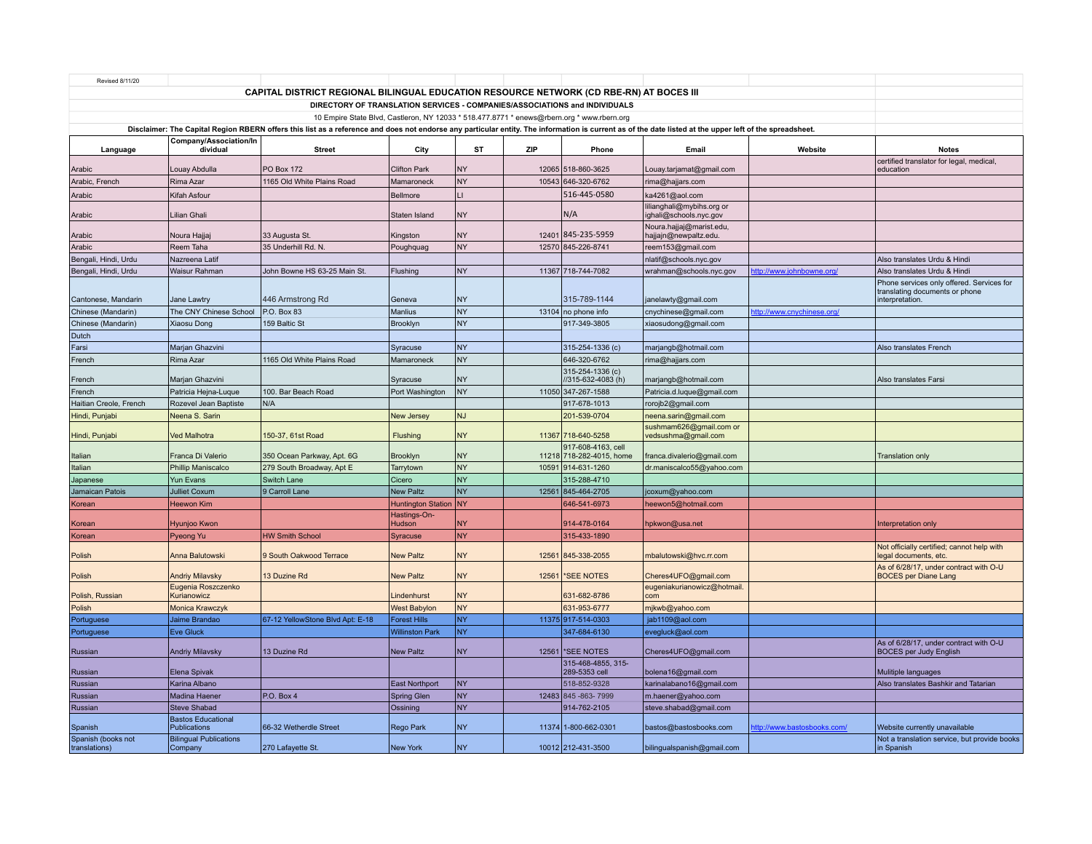| Revised 8/11/20                                                                                                                                                                                                                                                                                       |                                                  |                                  |                        |           |       |                                                |                                                     |                             |                                                                                                |
|-------------------------------------------------------------------------------------------------------------------------------------------------------------------------------------------------------------------------------------------------------------------------------------------------------|--------------------------------------------------|----------------------------------|------------------------|-----------|-------|------------------------------------------------|-----------------------------------------------------|-----------------------------|------------------------------------------------------------------------------------------------|
| CAPITAL DISTRICT REGIONAL BILINGUAL EDUCATION RESOURCE NETWORK (CD RBE-RN) AT BOCES III                                                                                                                                                                                                               |                                                  |                                  |                        |           |       |                                                |                                                     |                             |                                                                                                |
|                                                                                                                                                                                                                                                                                                       |                                                  |                                  |                        |           |       |                                                |                                                     |                             |                                                                                                |
|                                                                                                                                                                                                                                                                                                       |                                                  |                                  |                        |           |       |                                                |                                                     |                             |                                                                                                |
| 10 Empire State Blvd, Castleron, NY 12033 * 518.477.8771 * enews@rbern.org * www.rbern.org<br>Disclaimer: The Capital Region RBERN offers this list as a reference and does not endorse any particular entity. The information is current as of the date listed at the upper left of the spreadsheet. |                                                  |                                  |                        |           |       |                                                |                                                     |                             |                                                                                                |
|                                                                                                                                                                                                                                                                                                       | Company/Association/In                           |                                  |                        |           |       |                                                |                                                     |                             |                                                                                                |
| Language                                                                                                                                                                                                                                                                                              | dividual                                         | <b>Street</b>                    | City                   | <b>ST</b> | ZIP   | Phone                                          | Email                                               | Website                     | <b>Notes</b>                                                                                   |
| Arabic                                                                                                                                                                                                                                                                                                | Louay Abdulla                                    | <b>PO Box 172</b>                | <b>Clifton Park</b>    | <b>NY</b> |       | 12065 518-860-3625                             | Louay.tarjamat@gmail.com                            |                             | certified translator for legal, medical,<br>education                                          |
| Arabic, French                                                                                                                                                                                                                                                                                        | Rima Azar                                        | 1165 Old White Plains Road       | Mamaroneck             | NY        | 10543 | 646-320-6762                                   | rima@hajjars.com                                    |                             |                                                                                                |
| Arabic                                                                                                                                                                                                                                                                                                | Kifah Asfour                                     |                                  | Bellmore               | Ш         |       | 516-445-0580                                   | ka4261@aol.com                                      |                             |                                                                                                |
| Arabic                                                                                                                                                                                                                                                                                                | Lilian Ghali                                     |                                  | Staten Island          | <b>NY</b> |       | N/A                                            | lilianghali@mybihs.org or<br>ighali@schools.nyc.gov |                             |                                                                                                |
| Arabic                                                                                                                                                                                                                                                                                                | Noura Hajjaj                                     | 33 Augusta St.                   | Kingston               | <b>NY</b> | 12401 | 845-235-5959                                   | Noura.hajjaj@marist.edu<br>hajjajn@newpaltz.edu.    |                             |                                                                                                |
| Arabic                                                                                                                                                                                                                                                                                                | Reem Taha                                        | 35 Underhill Rd. N               | Poughquag              | <b>NY</b> |       | 12570 845-226-8741                             | reem153@gmail.com                                   |                             |                                                                                                |
| Bengali, Hindi, Urdu                                                                                                                                                                                                                                                                                  | Nazreena Latif                                   |                                  |                        |           |       |                                                | nlatif@schools.nyc.gov                              |                             | Also translates Urdu & Hindi                                                                   |
| Bengali, Hindi, Urdu                                                                                                                                                                                                                                                                                  | Waisur Rahman                                    | John Bowne HS 63-25 Main St      | Flushing               | <b>NY</b> |       | 11367 718-744-7082                             | wrahman@schools.nyc.gov                             | http://www.johnbowne.org/   | Also translates Urdu & Hindi                                                                   |
| Cantonese, Mandarin                                                                                                                                                                                                                                                                                   | Jane Lawtry                                      | 446 Armstrong Rd                 | Geneva                 | <b>NY</b> |       | 315-789-1144                                   | janelawty@gmail.com                                 |                             | Phone services only offered. Services for<br>translating documents or phone<br>interpretation. |
| Chinese (Mandarin)                                                                                                                                                                                                                                                                                    | The CNY Chinese School                           | P.O. Box 83                      | Manlius                | <b>NY</b> |       | 13104 no phone info                            | cnychinese@gmail.com                                | http://www.cnychinese.org/  |                                                                                                |
| Chinese (Mandarin)                                                                                                                                                                                                                                                                                    | Xiaosu Dong                                      | 159 Baltic St                    | Brooklyn               | NY        |       | 917-349-3805                                   | xiaosudong@gmail.com                                |                             |                                                                                                |
| Dutch                                                                                                                                                                                                                                                                                                 |                                                  |                                  |                        |           |       |                                                |                                                     |                             |                                                                                                |
| Farsi                                                                                                                                                                                                                                                                                                 | Marjan Ghazvini                                  |                                  | Syracuse               | <b>NY</b> |       | 315-254-1336 (c)                               | marjangb@hotmail.com                                |                             | Also translates French                                                                         |
| French                                                                                                                                                                                                                                                                                                | Rima Azar                                        | 1165 Old White Plains Road       | Mamaroneck             | NY        |       | 646-320-6762                                   | rima@hajjars.com                                    |                             |                                                                                                |
| French                                                                                                                                                                                                                                                                                                | Marjan Ghazvini                                  |                                  | Syracuse               | NY        |       | 315-254-1336 (c)<br>//315-632-4083(h)          | marjangb@hotmail.com                                |                             | Also translates Farsi                                                                          |
| French                                                                                                                                                                                                                                                                                                | Patricia Hejna-Luque                             | 100. Bar Beach Road              | Port Washington        | NY        |       | 11050 347-267-1588                             | Patricia.d.luque@gmail.com                          |                             |                                                                                                |
| Haitian Creole, French                                                                                                                                                                                                                                                                                | Rozevel Jean Baptiste                            | N/A                              |                        |           |       | 917-678-1013                                   | rorojb2@gmail.com                                   |                             |                                                                                                |
| Hindi, Punjabi                                                                                                                                                                                                                                                                                        | Neena S. Sarin                                   |                                  | New Jersey             | NJ        |       | 201-539-0704                                   | neena.sarin@gmail.com                               |                             |                                                                                                |
| Hindi, Punjabi                                                                                                                                                                                                                                                                                        | Ved Malhotra                                     | 150-37, 61st Road                | Flushing               | <b>NY</b> |       | 11367 718-640-5258                             | sushmam626@gmail.com or<br>vedsushma@gmail.com      |                             |                                                                                                |
| Italian                                                                                                                                                                                                                                                                                               | Franca Di Valerio                                | 350 Ocean Parkway, Apt. 6G       | <b>Brooklyn</b>        | NY        |       | 917-608-4163, cell<br>11218 718-282-4015, home | franca.divalerio@gmail.com                          |                             | <b>Translation only</b>                                                                        |
| Italian                                                                                                                                                                                                                                                                                               | Phillip Maniscalco                               | 279 South Broadway, Apt E        | Tarrytown              | NY        | 10591 | 914-631-1260                                   | dr.maniscalco55@yahoo.com                           |                             |                                                                                                |
| Japanese                                                                                                                                                                                                                                                                                              | Yun Evans                                        | Switch Lane                      | Cicero                 | NY        |       | 315-288-4710                                   |                                                     |                             |                                                                                                |
| Jamaican Patois                                                                                                                                                                                                                                                                                       | <b>Julliet Coxum</b>                             | 9 Carroll Lane                   | <b>New Paltz</b>       | NY)       | 12561 | 845-464-2705                                   | jcoxum@yahoo.com                                    |                             |                                                                                                |
| Korean                                                                                                                                                                                                                                                                                                | <b>Heewon Kim</b>                                |                                  | Huntington Station NY  |           |       | 646-541-6973                                   | heewon5@hotmail.com                                 |                             |                                                                                                |
| Korean                                                                                                                                                                                                                                                                                                | Hyunjoo Kwon                                     |                                  | Hastings-On-<br>Hudson | <b>NY</b> |       | 914-478-0164                                   | hpkwon@usa.net                                      |                             | Interpretation only                                                                            |
| Korean                                                                                                                                                                                                                                                                                                | Pyeong Yu                                        | <b>HW Smith School</b>           | Syracuse               | <b>NY</b> |       | 315-433-1890                                   |                                                     |                             |                                                                                                |
| Polish                                                                                                                                                                                                                                                                                                | Anna Balutowski                                  | 9 South Oakwood Terrace          | <b>New Paltz</b>       | <b>NY</b> | 12561 | 845-338-2055                                   | mbalutowski@hvc.rr.com                              |                             | Not officially certified; cannot help with<br>legal documents, etc.                            |
| Polish                                                                                                                                                                                                                                                                                                | <b>Andriy Milavsky</b>                           | 13 Duzine Rd                     | <b>New Paltz</b>       | <b>NY</b> | 12561 | *SEE NOTES                                     | Cheres4UFO@gmail.com                                |                             | As of 6/28/17, under contract with O-U<br><b>BOCES</b> per Diane Lang                          |
| Polish, Russian                                                                                                                                                                                                                                                                                       | Eugenia Roszczenko<br>Kurianowicz                |                                  | Lindenhurst            | <b>NY</b> |       | 631-682-8786                                   | eugeniakurianowicz@hotmail.<br>com                  |                             |                                                                                                |
| Polish                                                                                                                                                                                                                                                                                                | Monica Krawczyk                                  |                                  | <b>West Babylon</b>    | NY        |       | 631-953-6777                                   | mjkwb@yahoo.com                                     |                             |                                                                                                |
| Portuguese                                                                                                                                                                                                                                                                                            | Jaime Brandao                                    | 67-12 YellowStone Blvd Apt: E-18 | <b>Forest Hills</b>    | <b>NY</b> |       | 11375 917-514-0303                             | jab1109@aol.com                                     |                             |                                                                                                |
| Portuguese                                                                                                                                                                                                                                                                                            | <b>Eve Gluck</b>                                 |                                  | <b>Willinston Park</b> | <b>NY</b> |       | 347-684-6130                                   | evegluck@aol.com                                    |                             |                                                                                                |
| Russian                                                                                                                                                                                                                                                                                               | <b>Andriy Milavsky</b>                           | 13 Duzine Rd                     | <b>New Paltz</b>       | <b>NY</b> |       | 12561   * SEE NOTES                            | Cheres4UFO@gmail.com                                |                             | As of 6/28/17, under contract with O-U<br><b>BOCES</b> per Judy English                        |
| Russian                                                                                                                                                                                                                                                                                               | Elena Spivak                                     |                                  |                        |           |       | 315-468-4855, 315-<br>289-5353 cel             | bolena16@gmail.com                                  |                             | Mulitiple languages                                                                            |
| Russian                                                                                                                                                                                                                                                                                               | Karina Albano                                    |                                  | <b>East Northport</b>  | NY        |       | 518-852-9328                                   | karinalabano16@gmail.com                            |                             | Also translates Bashkir and Tatarian                                                           |
| Russian                                                                                                                                                                                                                                                                                               | Madina Haener                                    | P.O. Box 4                       | Spring Glen            | <b>NY</b> |       | 12483 845 - 863 - 7999                         | m.haener@yahoo.com                                  |                             |                                                                                                |
| Russian                                                                                                                                                                                                                                                                                               | Steve Shabad                                     |                                  | Ossining               | <b>NY</b> |       | 914-762-2105                                   | steve.shabad@gmail.com                              |                             |                                                                                                |
| Spanish                                                                                                                                                                                                                                                                                               | <b>Bastos Educational</b><br><b>Publications</b> | 66-32 Wetherdle Street           | Rego Park              | <b>NY</b> |       | 11374 1-800-662-0301                           | bastos@bastosbooks.com                              | http://www.bastosbooks.com/ | Website currently unavailable                                                                  |
| Spanish (books not<br>translations)                                                                                                                                                                                                                                                                   | <b>Bilingual Publications</b><br>Company         | 270 Lafayette St.                | <b>New York</b>        | <b>NY</b> |       | 10012 212-431-3500                             | bilingualspanish@gmail.com                          |                             | Not a translation service, but provide books<br>in Spanish                                     |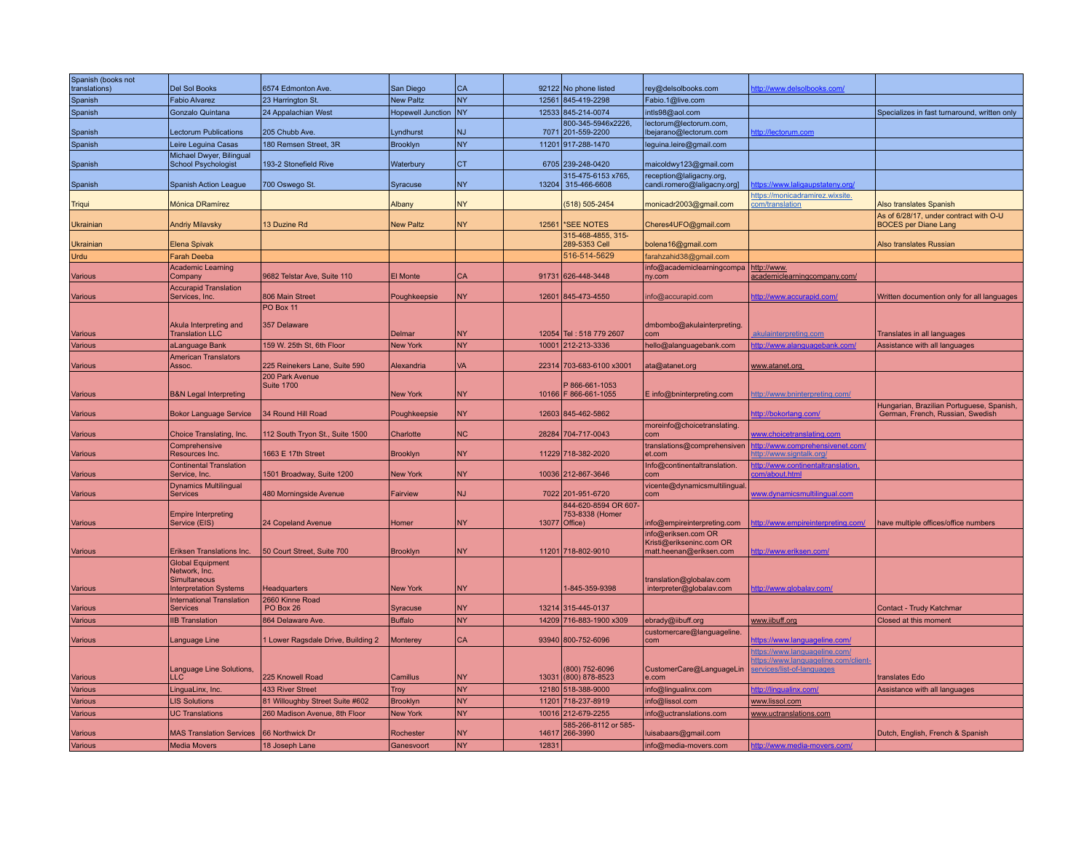| Spanish (books not |                                                      |                                      |                          |            |       |                                          |                                                         |                                                                           |                                                                               |
|--------------------|------------------------------------------------------|--------------------------------------|--------------------------|------------|-------|------------------------------------------|---------------------------------------------------------|---------------------------------------------------------------------------|-------------------------------------------------------------------------------|
| translations)      | <b>Del Sol Books</b>                                 | 6574 Edmonton Ave.                   | San Diego                | <b>CA</b>  |       | 92122 No phone listed                    | rey@delsolbooks.com                                     | http://www.delsolbooks.com/                                               |                                                                               |
| Spanish            | <b>Fabio Alvarez</b>                                 | 23 Harrington St                     | <b>New Paltz</b>         | <b>NY</b>  |       | 12561 845-419-2298                       | Fabio.1@live.com                                        |                                                                           |                                                                               |
| Spanish            | Gonzalo Quintana                                     | 24 Appalachian West                  | <b>Hopewell Junction</b> | <b>INY</b> |       | 12533 845-214-0074<br>800-345-5946x2226, | intls98@aol.com<br>lectorum@lectorum.com,               |                                                                           | Specializes in fast turnaround, written only                                  |
| Spanish            | <b>Lectorum Publications</b>                         | 205 Chubb Ave.                       | Lyndhurst                | <b>NJ</b>  |       | 7071 201-559-2200                        | Ibejarano@lectorum.com                                  | http://lectorum.com                                                       |                                                                               |
| Spanish            | Leire Leguina Casas                                  | 180 Remsen Street, 3R                | Brooklyn                 | NY         |       | 11201 917-288-1470                       | leguina.leire@gmail.com                                 |                                                                           |                                                                               |
|                    | Michael Dwyer, Bilingual                             |                                      |                          |            |       |                                          |                                                         |                                                                           |                                                                               |
| Spanish            | School Psychologist                                  | 193-2 Stonefield Rive                | Waterbury                | <b>CT</b>  |       | 6705 239-248-0420                        | maicoldwy123@gmail.com                                  |                                                                           |                                                                               |
| Spanish            | <b>Spanish Action League</b>                         | 700 Oswego St.                       | Syracuse                 | <b>NY</b>  | 13204 | 315-475-6153 x765,<br>315-466-6608       | reception@laligacny.org,<br>candi.romero@laligacny.org] | ttps://www.laligaupstateny.org/                                           |                                                                               |
|                    |                                                      |                                      |                          |            |       |                                          |                                                         | https://monicadramirez.wixsite.                                           |                                                                               |
| Triqui             | Mónica DRamírez                                      |                                      | Albany                   | <b>NY</b>  |       | (518) 505-2454                           | monicadr2003@gmail.com                                  | <u>com/translation</u>                                                    | <b>Also translates Spanish</b>                                                |
| Ukrainian          | <b>Andriy Milavsky</b>                               | 13 Duzine Rd                         | <b>New Paltz</b>         | <b>NY</b>  | 12561 | *SEE NOTES                               | Cheres4UFO@gmail.com                                    |                                                                           | As of 6/28/17, under contract with O-U<br><b>BOCES</b> per Diane Lang         |
| Ukrainiar          | Elena Spivak                                         |                                      |                          |            |       | 315-468-4855, 315-<br>289-5353 Cell      | bolena16@gmail.com                                      |                                                                           | Also translates Russian                                                       |
| Urdu               | <b>Farah Deeba</b>                                   |                                      |                          |            |       | 516-514-5629                             | farahzahid38@gmail.com                                  |                                                                           |                                                                               |
|                    | <b>Academic Learning</b>                             |                                      |                          |            |       |                                          | info@academiclearningcompa                              | http://www.                                                               |                                                                               |
| Various            | Company                                              | 9682 Telstar Ave, Suite 110          | <b>El Monte</b>          | <b>CA</b>  |       | 91731 626-448-3448                       | ny.com                                                  | academiclearningcompany.com/                                              |                                                                               |
| Various            | <b>Accurapid Translation</b><br>Services, Inc.       | 806 Main Street                      | Poughkeepsie             | <b>NY</b>  |       | 12601 845-473-4550                       | info@accurapid.com                                      | http://www.accurapid.com/                                                 | Written documention only for all languages                                    |
|                    |                                                      | PO Box 11                            |                          |            |       |                                          |                                                         |                                                                           |                                                                               |
|                    |                                                      | 357 Delaware                         |                          |            |       |                                          |                                                         |                                                                           |                                                                               |
| Various            | Akula Interpreting and<br><b>Translation LLC</b>     |                                      | Delmar                   | <b>NY</b>  |       | 12054 Tel: 518 779 2607                  | dmbombo@akulainterpreting<br>com                        | <u>ikulainterpreting.com</u>                                              | Translates in all languages                                                   |
| Various            | aLanguage Bank                                       | 159 W. 25th St, 6th Floor            | <b>New York</b>          | <b>NY</b>  |       | 10001 212-213-3336                       | hello@alanguagebank.com                                 | http://www.alanguagebank.com/                                             | Assistance with all languages                                                 |
|                    | <b>American Translators</b>                          |                                      |                          |            |       |                                          |                                                         |                                                                           |                                                                               |
| Various            | Assoc.                                               | 225 Reinekers Lane, Suite 590        | Alexandria               | <b>VA</b>  |       | 22314 703-683-6100 x3001                 | ata@atanet.org                                          | www.atanet.org                                                            |                                                                               |
|                    |                                                      | 200 Park Avenue<br><b>Suite 1700</b> |                          |            |       | 866-661-1053                             |                                                         |                                                                           |                                                                               |
| Various            | <b>B&amp;N Legal Interpreting</b>                    |                                      | <b>New York</b>          | <b>NY</b>  |       | 10166   F 866-661-1055                   | E info@bninterpreting.com                               | http://www.bninterpreting.com/                                            |                                                                               |
| Various            | <b>Bokor Language Service</b>                        | 34 Round Hill Road                   |                          | <b>NY</b>  |       | 12603 845-462-5862                       |                                                         | http://bokorlang.com/                                                     | Hungarian, Brazilian Portuguese, Spanish.<br>German, French, Russian, Swedish |
|                    |                                                      |                                      | Poughkeepsie             |            |       |                                          | moreinfo@choicetranslating.                             |                                                                           |                                                                               |
| Various            | Choice Translating, Inc.                             | 112 South Tryon St., Suite 1500      | Charlotte                | <b>NC</b>  |       | 28284 704-717-0043                       | com                                                     | ww.choicetranslating.com                                                  |                                                                               |
| Various            | Comprehensive<br>Resources Inc.                      | 1663 E 17th Street                   | <b>Brooklyn</b>          | <b>NY</b>  |       | 11229 718-382-2020                       | translations@comprehensiven<br>et.com                   | ttp://www.comprehensivenet.com/<br>ttp://www.signtalk.org/                |                                                                               |
|                    | <b>Continental Translation</b>                       |                                      |                          |            |       |                                          | Info@continentaltranslation.                            | ttp://www.continentaltranslation.                                         |                                                                               |
| Various            | Service, Inc.                                        | 1501 Broadway, Suite 1200            | New York                 | <b>NY</b>  |       | 10036 212-867-3646                       | com                                                     | <u>om/about.htm</u>                                                       |                                                                               |
|                    | <b>Dynamics Multilingual</b>                         |                                      |                          |            |       |                                          | vicente@dynamicsmultilingual                            |                                                                           |                                                                               |
| Various            | <b>Services</b>                                      | 480 Morningside Avenue               | Fairview                 | <b>NJ</b>  |       | 7022 201-951-6720                        | com                                                     | www.dynamicsmultilingual.com                                              |                                                                               |
|                    | <b>Empire Interpreting</b>                           |                                      |                          |            |       | 844-620-8594 OR 607-<br>753-8338 (Homer  |                                                         |                                                                           |                                                                               |
| Various            | Service (EIS)                                        | 24 Copeland Avenue                   | Homer                    | NY         |       | 13077 Office)                            | info@empireinterpreting.com                             | ttp://www.empireinterpreting.com/                                         | have multiple offices/office numbers                                          |
|                    |                                                      |                                      |                          |            |       |                                          | info@eriksen.com OR                                     |                                                                           |                                                                               |
| Various            | Eriksen Translations Inc.                            | 50 Court Street, Suite 700           | <b>Brooklyn</b>          | <b>NY</b>  |       | 11201 718-802-9010                       | Kristi@erikseninc.com OR<br>matt.heenan@eriksen.com     | <u>nttp://www.eriksen.com.</u>                                            |                                                                               |
|                    | <b>Global Equipment</b>                              |                                      |                          |            |       |                                          |                                                         |                                                                           |                                                                               |
|                    | Network, Inc.                                        |                                      |                          |            |       |                                          |                                                         |                                                                           |                                                                               |
| Various            | <b>Simultaneous</b><br><b>Interpretation Systems</b> | <b>Headquarters</b>                  | <b>New York</b>          | <b>NY</b>  |       | 1-845-359-9398                           | translation@globalav.com<br>interpreter@globalav.com    | <u>ttp://www.globalav.com</u>                                             |                                                                               |
|                    | <b>International Translation</b>                     | 2660 Kinne Road                      |                          |            |       |                                          |                                                         |                                                                           |                                                                               |
| Various            | <b>Services</b>                                      | PO Box 26                            | Syracuse                 | <b>NY</b>  |       | 13214 315-445-0137                       |                                                         |                                                                           | Contact - Trudy Katchmar                                                      |
| Various            | <b>IIB Translation</b>                               | 864 Delaware Ave                     | <b>Buffalo</b>           | <b>NY</b>  |       | 14209 716-883-1900 x309                  | ebrady@iibuff.org                                       | www.iibuff.org                                                            | Closed at this moment                                                         |
| <b>Various</b>     | Language Line                                        | 1 Lower Ragsdale Drive, Building 2   | Monterey                 | <b>CA</b>  |       | 93940 800-752-6096                       | customercare@languageline.<br>com                       | https://www.languageline.com/                                             |                                                                               |
|                    |                                                      |                                      |                          |            |       |                                          |                                                         | https://www.languageline.com/                                             |                                                                               |
|                    | <b>Language Line Solutions</b>                       |                                      |                          |            |       | (800) 752-6096                           | CustomerCare@LanguageLin                                | https://www.languageline.com/client-<br><u>services/list-of-lanquages</u> |                                                                               |
| Various            | $\sqcup$ C                                           | 225 Knowell Road                     | Camillus                 | <b>NY</b>  | 13031 | (800) 878-8523                           | e.com                                                   |                                                                           | translates Edo                                                                |
| Various            | LinguaLinx, Inc.                                     | 433 River Street                     | <b>Troy</b>              | <b>NY</b>  |       | 12180 518-388-9000                       | info@lingualinx.com                                     | http://lingualinx.com/                                                    | Assistance with all languages                                                 |
| Various            | <b>LIS Solutions</b>                                 | 81 Willoughby Street Suite #602      | <b>Brooklyn</b>          | <b>NY</b>  | 11201 | 718-237-8919                             | info@lissol.com                                         | www.lissol.com                                                            |                                                                               |
| Various            | <b>UC Translations</b>                               | 260 Madison Avenue, 8th Floor        | <b>New York</b>          | <b>NY</b>  |       | 10016 212-679-2255                       | info@uctranslations.com                                 | www.uctranslations.com                                                    |                                                                               |
| Various            | <b>MAS Translation Services</b>                      | 66 Northwick Dr                      | Rochester                | <b>NY</b>  | 14617 | 585-266-8112 or 585-<br>266-3990         | uisabaars@gmail.com                                     |                                                                           | Dutch, English, French & Spanish                                              |
| <b>Various</b>     | <b>Media Movers</b>                                  | 18 Joseph Lane                       | Ganesvoort               | <b>NY</b>  | 12831 |                                          | info@media-movers.com                                   | http://www.media-movers.com/                                              |                                                                               |
|                    |                                                      |                                      |                          |            |       |                                          |                                                         |                                                                           |                                                                               |